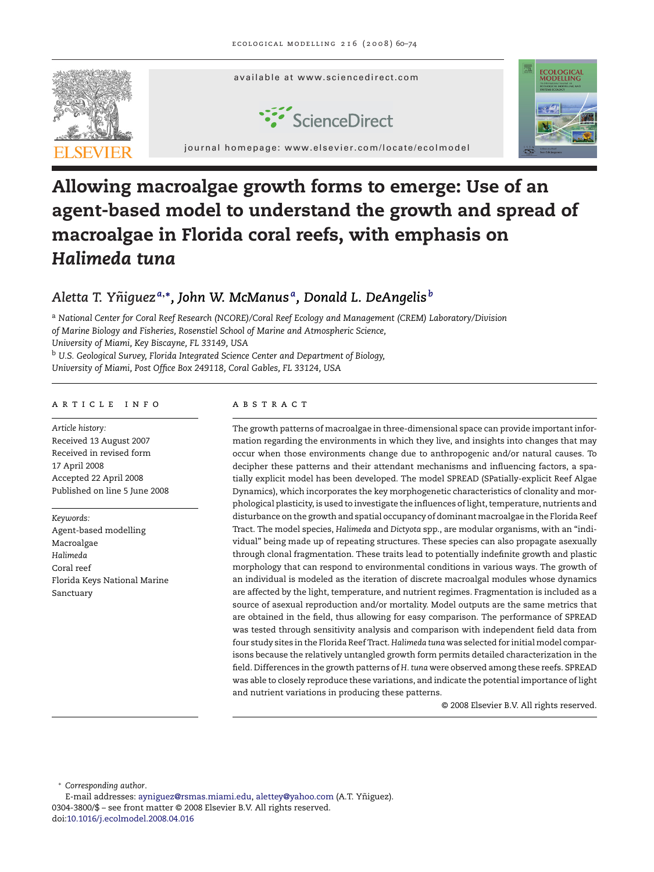

# **Allowing macroalgae growth forms to emerge: Use of an agent-based model to understand the growth and spread of macroalgae in Florida coral reefs, with emphasis on** *Halimeda tuna*

# *Aletta T. Yniguez ˜ <sup>a</sup>***,∗***, John W. McManus a, Donald L. DeAngelis <sup>b</sup>*

<sup>a</sup> *National Center for Coral Reef Research (NCORE)/Coral Reef Ecology and Management (CREM) Laboratory/Division of Marine Biology and Fisheries, Rosenstiel School of Marine and Atmospheric Science, University of Miami, Key Biscayne, FL 33149, USA* <sup>b</sup> *U.S. Geological Survey, Florida Integrated Science Center and Department of Biology, University of Miami, Post Office Box 249118, Coral Gables, FL 33124, USA*

#### article info

*Article history:* Received 13 August 2007 Received in revised form 17 April 2008 Accepted 22 April 2008 Published on line 5 June 2008

*Keywords:* Agent-based modelling Macroalgae *Halimeda* Coral reef Florida Keys National Marine Sanctuary

## **ABSTRACT**

The growth patterns of macroalgae in three-dimensional space can provide important information regarding the environments in which they live, and insights into changes that may occur when those environments change due to anthropogenic and/or natural causes. To decipher these patterns and their attendant mechanisms and influencing factors, a spatially explicit model has been developed. The model SPREAD (SPatially-explicit Reef Algae Dynamics), which incorporates the key morphogenetic characteristics of clonality and morphological plasticity, is used to investigate the influences of light, temperature, nutrients and disturbance on the growth and spatial occupancy of dominant macroalgae in the Florida Reef Tract. The model species, *Halimeda* and *Dictyota* spp., are modular organisms, with an "individual" being made up of repeating structures. These species can also propagate asexually through clonal fragmentation. These traits lead to potentially indefinite growth and plastic morphology that can respond to environmental conditions in various ways. The growth of an individual is modeled as the iteration of discrete macroalgal modules whose dynamics are affected by the light, temperature, and nutrient regimes. Fragmentation is included as a source of asexual reproduction and/or mortality. Model outputs are the same metrics that are obtained in the field, thus allowing for easy comparison. The performance of SPREAD was tested through sensitivity analysis and comparison with independent field data from four study sites in the Florida Reef Tract. *Halimeda tuna* was selected for initial model comparisons because the relatively untangled growth form permits detailed characterization in the field. Differences in the growth patterns of *H. tuna* were observed among these reefs. SPREAD was able to closely reproduce these variations, and indicate the potential importance of light and nutrient variations in producing these patterns.

© 2008 Elsevier B.V. All rights reserved.

<sup>∗</sup> *Corresponding author*.

E-mail addresses: [ayniguez@rsmas.miami.edu,](mailto:ayniguez@rsmas.miami.edu) [alettey@yahoo.com](mailto:alettey@yahoo.com) (A.T. Yniguez). ˜ 0304-3800/\$ – see front matter © 2008 Elsevier B.V. All rights reserved. doi:[10.1016/j.ecolmodel.2008.04.016](dx.doi.org/10.1016/j.ecolmodel.2008.04.016)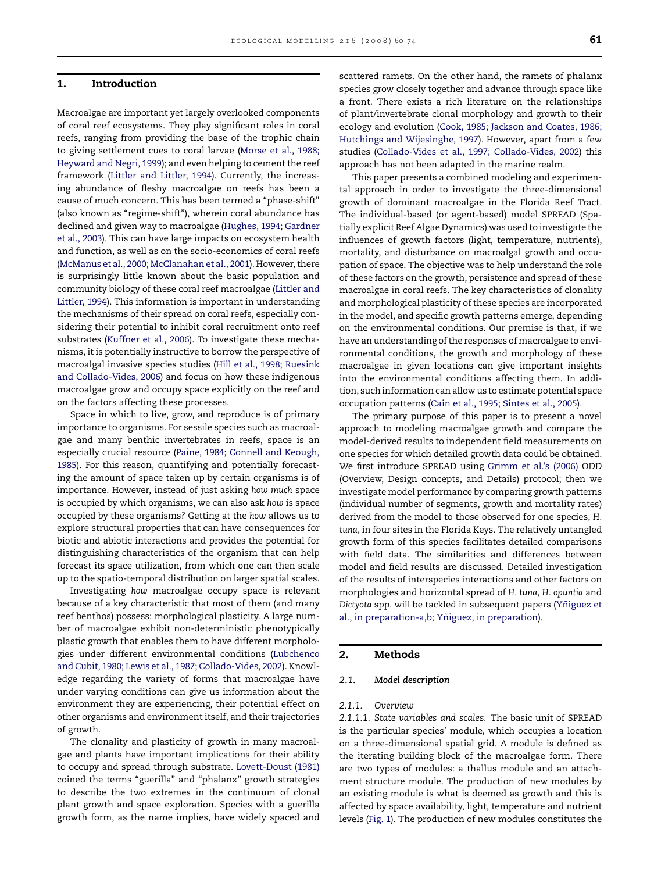#### **1. Introduction**

Macroalgae are important yet largely overlooked components of coral reef ecosystems. They play significant roles in coral reefs, ranging from providing the base of the trophic chain to giving settlement cues to coral larvae ([Morse et al., 1988;](#page-14-0) [Heyward and Negri, 1999\);](#page-14-0) and even helping to cement the reef framework ([Littler and Littler, 1994\).](#page-13-0) Currently, the increasing abundance of fleshy macroalgae on reefs has been a cause of much concern. This has been termed a "phase-shift" (also known as "regime-shift"), wherein coral abundance has declined and given way to macroalgae ([Hughes, 1994; Gardner](#page-13-0) [et al., 2003\).](#page-13-0) This can have large impacts on ecosystem health and function, as well as on the socio-economics of coral reefs [\(McManus et al., 2000; McClanahan et al., 2001\).](#page-14-0) However, there is surprisingly little known about the basic population and community biology of these coral reef macroalgae ([Littler and](#page-13-0) [Littler, 1994\).](#page-13-0) This information is important in understanding the mechanisms of their spread on coral reefs, especially considering their potential to inhibit coral recruitment onto reef substrates ([Kuffner et al., 2006\).](#page-13-0) To investigate these mechanisms, it is potentially instructive to borrow the perspective of macroalgal invasive species studies ([Hill et al., 1998; Ruesink](#page-13-0) [and Collado-Vides, 2006\)](#page-13-0) and focus on how these indigenous macroalgae grow and occupy space explicitly on the reef and on the factors affecting these processes.

Space in which to live, grow, and reproduce is of primary importance to organisms. For sessile species such as macroalgae and many benthic invertebrates in reefs, space is an especially crucial resource ([Paine, 1984; Connell and Keough,](#page-14-0) [1985\).](#page-14-0) For this reason, quantifying and potentially forecasting the amount of space taken up by certain organisms is of importance. However, instead of just asking *how much* space is occupied by which organisms, we can also ask *how* is space occupied by these organisms? Getting at the *how* allows us to explore structural properties that can have consequences for biotic and abiotic interactions and provides the potential for distinguishing characteristics of the organism that can help forecast its space utilization, from which one can then scale up to the spatio-temporal distribution on larger spatial scales.

Investigating *how* macroalgae occupy space is relevant because of a key characteristic that most of them (and many reef benthos) possess: morphological plasticity. A large number of macroalgae exhibit non-deterministic phenotypically plastic growth that enables them to have different morphologies under different environmental conditions ([Lubchenco](#page-13-0) [and Cubit, 1980; Lewis et al., 1987; Collado-Vides, 2002\).](#page-13-0) Knowledge regarding the variety of forms that macroalgae have under varying conditions can give us information about the environment they are experiencing, their potential effect on other organisms and environment itself, and their trajectories of growth.

The clonality and plasticity of growth in many macroalgae and plants have important implications for their ability to occupy and spread through substrate. [Lovett-Doust \(1981\)](#page-13-0) coined the terms "guerilla" and "phalanx" growth strategies to describe the two extremes in the continuum of clonal plant growth and space exploration. Species with a guerilla growth form, as the name implies, have widely spaced and scattered ramets. On the other hand, the ramets of phalanx species grow closely together and advance through space like a front. There exists a rich literature on the relationships of plant/invertebrate clonal morphology and growth to their ecology and evolution [\(Cook, 1985; Jackson and Coates, 1986;](#page-13-0) [Hutchings and Wijesinghe, 1997\).](#page-13-0) However, apart from a few studies [\(Collado-Vides et al., 1997; Collado-Vides, 2002\)](#page-13-0) this approach has not been adapted in the marine realm.

This paper presents a combined modeling and experimental approach in order to investigate the three-dimensional growth of dominant macroalgae in the Florida Reef Tract. The individual-based (or agent-based) model SPREAD (Spatially explicit Reef Algae Dynamics) was used to investigate the influences of growth factors (light, temperature, nutrients), mortality, and disturbance on macroalgal growth and occupation of space. The objective was to help understand the role of these factors on the growth, persistence and spread of these macroalgae in coral reefs. The key characteristics of clonality and morphological plasticity of these species are incorporated in the model, and specific growth patterns emerge, depending on the environmental conditions. Our premise is that, if we have an understanding of the responses of macroalgae to environmental conditions, the growth and morphology of these macroalgae in given locations can give important insights into the environmental conditions affecting them. In addition, such information can allow us to estimate potential space occupation patterns [\(Cain et al., 1995; Sintes et al., 2005\).](#page-13-0)

The primary purpose of this paper is to present a novel approach to modeling macroalgae growth and compare the model-derived results to independent field measurements on one species for which detailed growth data could be obtained. We first introduce SPREAD using [Grimm et al.'s \(2006\)](#page-13-0) ODD (Overview, Design concepts, and Details) protocol; then we investigate model performance by comparing growth patterns (individual number of segments, growth and mortality rates) derived from the model to those observed for one species, *H. tuna*, in four sites in the Florida Keys. The relatively untangled growth form of this species facilitates detailed comparisons with field data. The similarities and differences between model and field results are discussed. Detailed investigation of the results of interspecies interactions and other factors on morphologies and horizontal spread of *H. tuna*, *H. opuntia* and Dictyota spp. will be tackled in subsequent papers (Yñiguez et al., in preparation-a,b; Yñiguez, in preparation).

## **2. Methods**

#### *2.1. Model description*

#### *2.1.1. Overview*

*2.1.1.1. State variables and scales.* The basic unit of SPREAD is the particular species' module, which occupies a location on a three-dimensional spatial grid. A module is defined as the iterating building block of the macroalgae form. There are two types of modules: a thallus module and an attachment structure module. The production of new modules by an existing module is what is deemed as growth and this is affected by space availability, light, temperature and nutrient levels ([Fig. 1\).](#page-2-0) The production of new modules constitutes the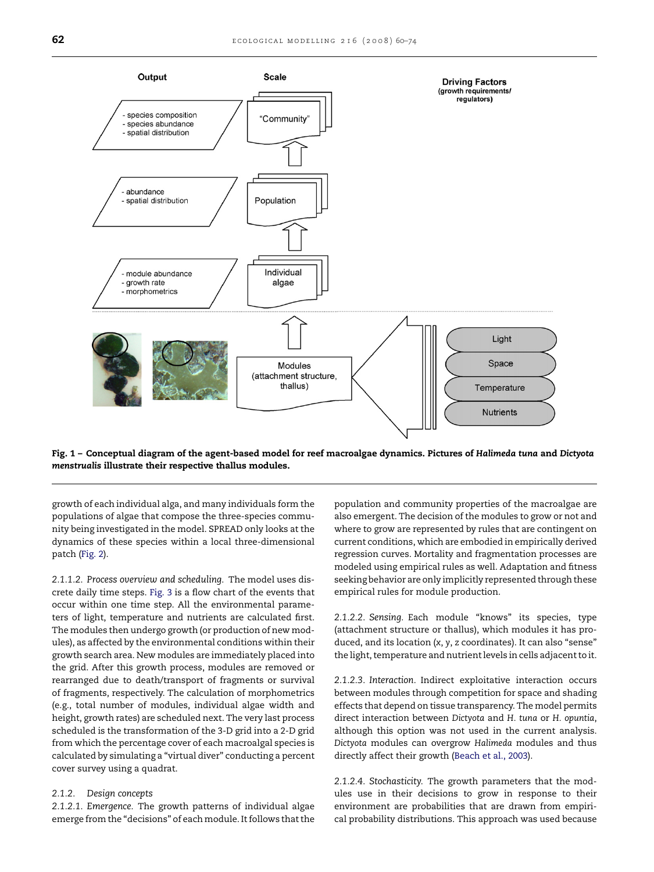<span id="page-2-0"></span>

**Fig. 1 – Conceptual diagram of the agent-based model for reef macroalgae dynamics. Pictures of** *Halimeda tuna* **and** *Dictyota menstrualis* **illustrate their respective thallus modules.**

growth of each individual alga, and many individuals form the populations of algae that compose the three-species community being investigated in the model. SPREAD only looks at the dynamics of these species within a local three-dimensional patch [\(Fig. 2\).](#page-3-0)

*2.1.1.2. Process overview and scheduling.* The model uses discrete daily time steps. [Fig. 3](#page-3-0) is a flow chart of the events that occur within one time step. All the environmental parameters of light, temperature and nutrients are calculated first. The modules then undergo growth (or production of new modules), as affected by the environmental conditions within their growth search area. New modules are immediately placed into the grid. After this growth process, modules are removed or rearranged due to death/transport of fragments or survival of fragments, respectively. The calculation of morphometrics (e.g., total number of modules, individual algae width and height, growth rates) are scheduled next. The very last process scheduled is the transformation of the 3-D grid into a 2-D grid from which the percentage cover of each macroalgal species is calculated by simulating a "virtual diver" conducting a percent cover survey using a quadrat.

#### *2.1.2. Design concepts*

*2.1.2.1. Emergence.* The growth patterns of individual algae emerge from the "decisions" of each module. It follows that the population and community properties of the macroalgae are also emergent. The decision of the modules to grow or not and where to grow are represented by rules that are contingent on current conditions, which are embodied in empirically derived regression curves. Mortality and fragmentation processes are modeled using empirical rules as well. Adaptation and fitness seeking behavior are only implicitly represented through these empirical rules for module production.

*2.1.2.2. Sensing.* Each module "knows" its species, type (attachment structure or thallus), which modules it has produced, and its location (*x*, *y*, *z* coordinates). It can also "sense" the light, temperature and nutrient levels in cells adjacent to it.

*2.1.2.3. Interaction.* Indirect exploitative interaction occurs between modules through competition for space and shading effects that depend on tissue transparency. The model permits direct interaction between *Dictyota* and *H. tuna* or *H. opuntia*, although this option was not used in the current analysis. *Dictyota* modules can overgrow *Halimeda* modules and thus directly affect their growth ([Beach et al., 2003\).](#page-13-0)

*2.1.2.4. Stochasticity.* The growth parameters that the modules use in their decisions to grow in response to their environment are probabilities that are drawn from empirical probability distributions. This approach was used because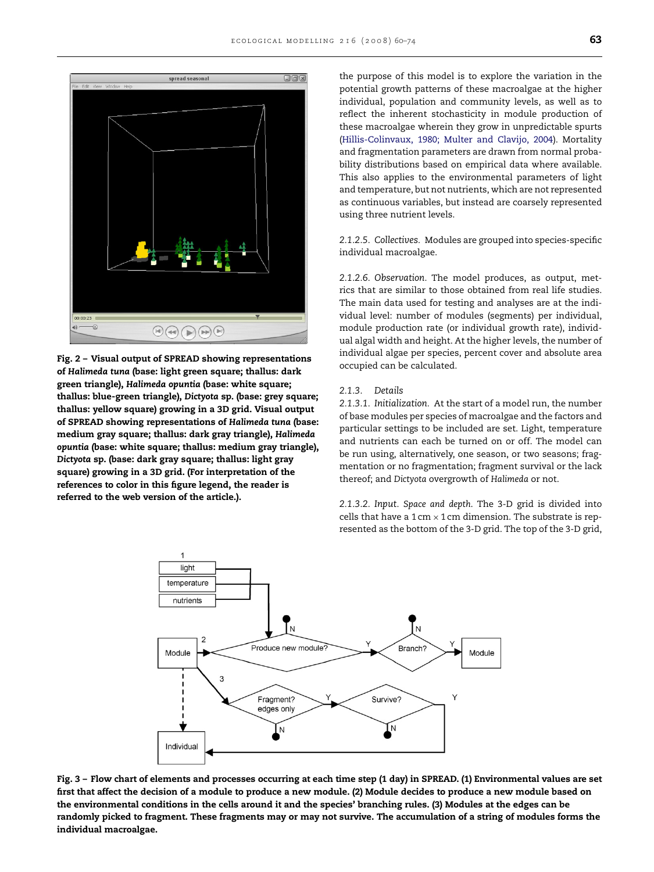<span id="page-3-0"></span>

**Fig. 2 – Visual output of SPREAD showing representations of** *Halimeda tuna* **(base: light green square; thallus: dark green triangle),** *Halimeda opuntia* **(base: white square; thallus: blue-green triangle),** *Dictyota* **sp. (base: grey square; thallus: yellow square) growing in a 3D grid. Visual output of SPREAD showing representations of** *Halimeda tuna* **(base: medium gray square; thallus: dark gray triangle),** *Halimeda opuntia* **(base: white square; thallus: medium gray triangle),** *Dictyota* **sp. (base: dark gray square; thallus: light gray square) growing in a 3D grid. (For interpretation of the references to color in this figure legend, the reader is referred to the web version of the article.).**

the purpose of this model is to explore the variation in the potential growth patterns of these macroalgae at the higher individual, population and community levels, as well as to reflect the inherent stochasticity in module production of these macroalgae wherein they grow in unpredictable spurts ([Hillis-Colinvaux, 1980; Multer and Clavijo, 2004\).](#page-13-0) Mortality and fragmentation parameters are drawn from normal probability distributions based on empirical data where available. This also applies to the environmental parameters of light and temperature, but not nutrients, which are not represented as continuous variables, but instead are coarsely represented using three nutrient levels.

*2.1.2.5. Collectives.* Modules are grouped into species-specific individual macroalgae.

*2.1.2.6. Observation.* The model produces, as output, metrics that are similar to those obtained from real life studies. The main data used for testing and analyses are at the individual level: number of modules (segments) per individual, module production rate (or individual growth rate), individual algal width and height. At the higher levels, the number of individual algae per species, percent cover and absolute area occupied can be calculated.

#### *2.1.3. Details*

*2.1.3.1. Initialization.* At the start of a model run, the number of base modules per species of macroalgae and the factors and particular settings to be included are set. Light, temperature and nutrients can each be turned on or off. The model can be run using, alternatively, one season, or two seasons; fragmentation or no fragmentation; fragment survival or the lack thereof; and *Dictyota* overgrowth of *Halimeda* or not.

*2.1.3.2. Input. Space and depth*. The 3-D grid is divided into cells that have a  $1 \text{ cm} \times 1 \text{ cm}$  dimension. The substrate is represented as the bottom of the 3-D grid. The top of the 3-D grid,



**Fig. 3 – Flow chart of elements and processes occurring at each time step (1 day) in SPREAD. (1) Environmental values are set first that affect the decision of a module to produce a new module. (2) Module decides to produce a new module based on the environmental conditions in the cells around it and the species' branching rules. (3) Modules at the edges can be randomly picked to fragment. These fragments may or may not survive. The accumulation of a string of modules forms the individual macroalgae.**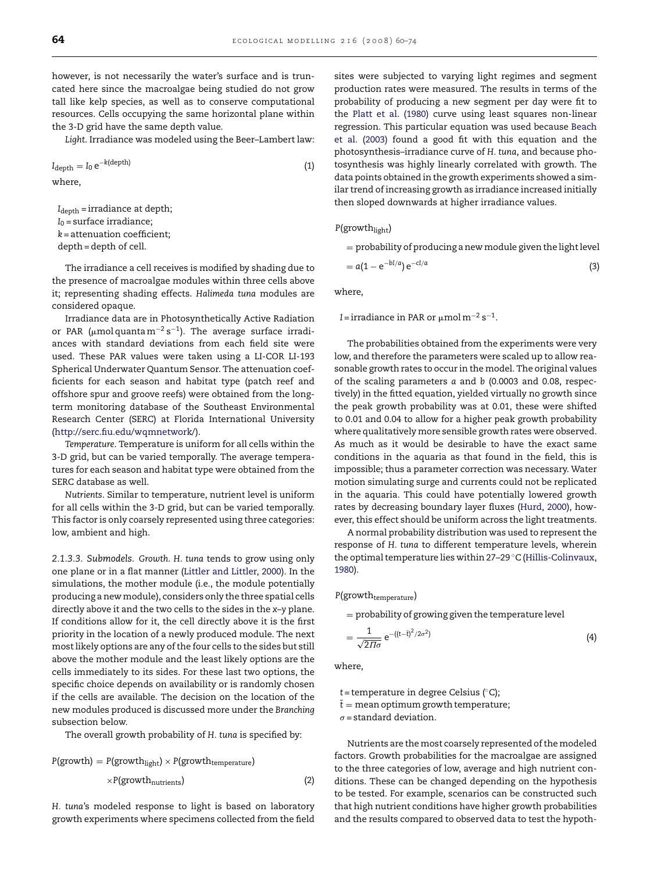<span id="page-4-0"></span>however, is not necessarily the water's surface and is truncated here since the macroalgae being studied do not grow tall like kelp species, as well as to conserve computational resources. Cells occupying the same horizontal plane within the 3-D grid have the same depth value.

*Light*. Irradiance was modeled using the Beer–Lambert law:

 $I_{\text{depth}} = I_0 e^{-k(\text{depth})}$  (1) where,

*I*depth = irradiance at depth; *I*<sup>0</sup> = surface irradiance; *k* = attenuation coefficient; depth = depth of cell.

The irradiance a cell receives is modified by shading due to the presence of macroalgae modules within three cells above it; representing shading effects. *Halimeda tuna* modules are considered opaque.

Irradiance data are in Photosynthetically Active Radiation or PAR (µmol $qu$ antam $^{-2}$ s $^{-1}$ ). The average surface irradiances with standard deviations from each field site were used. These PAR values were taken using a LI-COR LI-193 Spherical Underwater Quantum Sensor. The attenuation coefficients for each season and habitat type (patch reef and offshore spur and groove reefs) were obtained from the longterm monitoring database of the Southeast Environmental Research Center (SERC) at Florida International University ([http://serc.fiu.edu/wqmnetwork/\)](http://serc.fiu.edu/wqmnetwork/).

*Temperature*. Temperature is uniform for all cells within the 3-D grid, but can be varied temporally. The average temperatures for each season and habitat type were obtained from the SERC database as well.

*Nutrients*. Similar to temperature, nutrient level is uniform for all cells within the 3-D grid, but can be varied temporally. This factor is only coarsely represented using three categories: low, ambient and high.

*2.1.3.3. Submodels. Growth*. *H. tuna* tends to grow using only one plane or in a flat manner [\(Littler and Littler, 2000\).](#page-13-0) In the simulations, the mother module (i.e., the module potentially producing a new module), considers only the three spatial cells directly above it and the two cells to the sides in the *x*–*y* plane. If conditions allow for it, the cell directly above it is the first priority in the location of a newly produced module. The next most likely options are any of the four cells to the sides but still above the mother module and the least likely options are the cells immediately to its sides. For these last two options, the specific choice depends on availability or is randomly chosen if the cells are available. The decision on the location of the new modules produced is discussed more under the *Branching* subsection below.

The overall growth probability of *H. tuna* is specified by:

$$
P(\text{growth}) = P(\text{growth}_{\text{light}}) \times P(\text{growth}_{\text{temperature}})
$$
  

$$
\times P(\text{growth}_{\text{nutrients}})
$$
 (2)

*H. tuna*'s modeled response to light is based on laboratory growth experiments where specimens collected from the field sites were subjected to varying light regimes and segment production rates were measured. The results in terms of the probability of producing a new segment per day were fit to the [Platt et al. \(1980\)](#page-14-0) curve using least squares non-linear regression. This particular equation was used because [Beach](#page-13-0) [et al. \(2003\)](#page-13-0) found a good fit with this equation and the photosynthesis–irradiance curve of *H. tuna*, and because photosynthesis was highly linearly correlated with growth. The data points obtained in the growth experiments showed a similar trend of increasing growth as irradiance increased initially then sloped downwards at higher irradiance values.

 $P(\text{growth}_{\text{light}})$ 

= probability of producing a new module given the light level

$$
=a(1-e^{-bI/a})e^{-cI/a} \tag{3}
$$

where,

*I* = irradiance in PAR or µmol m<sup>−2</sup> s<sup>−1</sup>.

The probabilities obtained from the experiments were very low, and therefore the parameters were scaled up to allow reasonable growth rates to occur in the model. The original values of the scaling parameters *a* and *b* (0.0003 and 0.08, respectively) in the fitted equation, yielded virtually no growth since the peak growth probability was at 0.01, these were shifted to 0.01 and 0.04 to allow for a higher peak growth probability where qualitatively more sensible growth rates were observed. As much as it would be desirable to have the exact same conditions in the aquaria as that found in the field, this is impossible; thus a parameter correction was necessary. Water motion simulating surge and currents could not be replicated in the aquaria. This could have potentially lowered growth rates by decreasing boundary layer fluxes ([Hurd, 2000\),](#page-13-0) however, this effect should be uniform across the light treatments.

A normal probability distribution was used to represent the response of *H. tuna* to different temperature levels, wherein the optimal temperature lies within 27–29 ◦C ([Hillis-Colinvaux,](#page-13-0) [1980\).](#page-13-0)

P(growth<sub>temperature</sub>)

= probability of growing given the temperature level

$$
=\frac{1}{\sqrt{2\Pi\sigma}}\,\mathrm{e}^{-(\left(\mathrm{t}-\mathrm{\bar{t}}\right)^2/2\sigma^2)}\tag{4}
$$

where,

*t =* temperature in degree Celsius (◦C);  $\bar{t}$  = mean optimum growth temperature;

 $\sigma$  = standard deviation.

Nutrients are the most coarsely represented of the modeled factors. Growth probabilities for the macroalgae are assigned to the three categories of low, average and high nutrient conditions. These can be changed depending on the hypothesis to be tested. For example, scenarios can be constructed such that high nutrient conditions have higher growth probabilities and the results compared to observed data to test the hypoth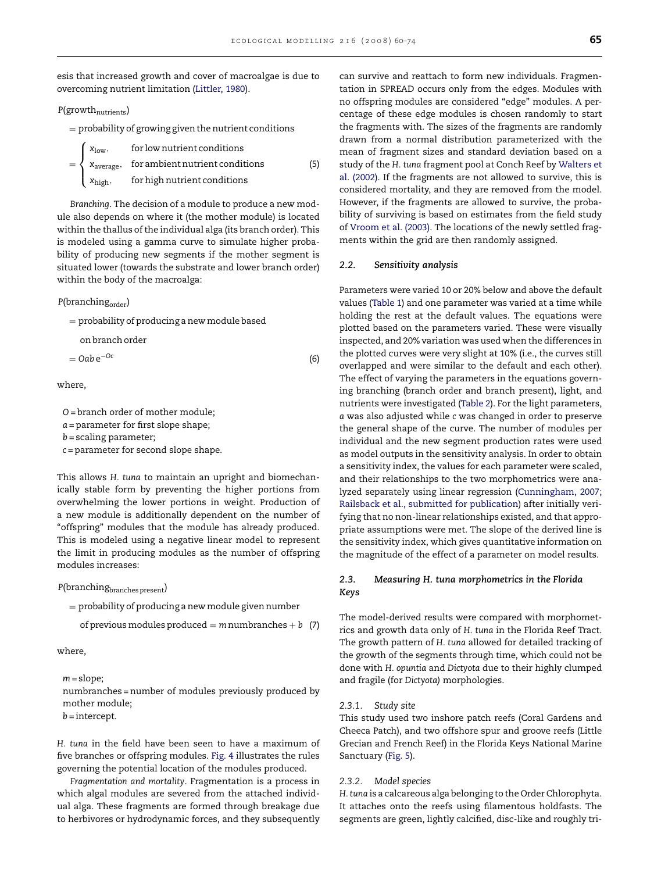<span id="page-5-0"></span>esis that increased growth and cover of macroalgae is due to overcoming nutrient limitation ([Littler, 1980\).](#page-13-0)

$$
P(\text{growth}_{\text{nutrients}})
$$

= probability of growing given the nutrient conditions

$$
= \begin{cases} x_{\text{low}}, & \text{for low nutrient conditions} \\ x_{\text{average}}, & \text{for ambient nutrient conditions} \\ x_{\text{high}}, & \text{for high nutrient conditions} \end{cases} \tag{5}
$$

*Branching*. The decision of a module to produce a new module also depends on where it (the mother module) is located within the thallus of the individual alga (its branch order). This is modeled using a gamma curve to simulate higher probability of producing new segments if the mother segment is situated lower (towards the substrate and lower branch order) within the body of the macroalga:

## P(branching<sub>order</sub>)

= probability of producing a new module based

on branch order

$$
= Oab e^{-0c}
$$
 (6)

where,

*O* = branch order of mother module;

*a* = parameter for first slope shape;

*b* = scaling parameter;

*c* = parameter for second slope shape.

This allows *H. tuna* to maintain an upright and biomechanically stable form by preventing the higher portions from overwhelming the lower portions in weight. Production of a new module is additionally dependent on the number of "offspring" modules that the module has already produced. This is modeled using a negative linear model to represent the limit in producing modules as the number of offspring modules increases:

## P(branching<sub>branches present</sub>)

= probability of producing a new module given number

of previous modules produced =  $m$  numbranches +  $b$  (7)

where,

#### *m* = slope;

numbranches = number of modules previously produced by mother module;

*b* = intercept.

*H. tuna* in the field have been seen to have a maximum of five branches or offspring modules. [Fig. 4](#page-6-0) illustrates the rules governing the potential location of the modules produced.

*Fragmentation and mortality*. Fragmentation is a process in which algal modules are severed from the attached individual alga. These fragments are formed through breakage due to herbivores or hydrodynamic forces, and they subsequently can survive and reattach to form new individuals. Fragmentation in SPREAD occurs only from the edges. Modules with no offspring modules are considered "edge" modules. A percentage of these edge modules is chosen randomly to start the fragments with. The sizes of the fragments are randomly drawn from a normal distribution parameterized with the mean of fragment sizes and standard deviation based on a study of the *H. tuna* fragment pool at Conch Reef by [Walters et](#page-14-0) [al. \(2002\). I](#page-14-0)f the fragments are not allowed to survive, this is considered mortality, and they are removed from the model. However, if the fragments are allowed to survive, the probability of surviving is based on estimates from the field study of [Vroom et al. \(2003\). T](#page-14-0)he locations of the newly settled fragments within the grid are then randomly assigned.

#### *2.2. Sensitivity analysis*

Parameters were varied 10 or 20% below and above the default values ([Table 1\) a](#page-7-0)nd one parameter was varied at a time while holding the rest at the default values. The equations were plotted based on the parameters varied. These were visually inspected, and 20% variation was used when the differences in the plotted curves were very slight at 10% (i.e., the curves still overlapped and were similar to the default and each other). The effect of varying the parameters in the equations governing branching (branch order and branch present), light, and nutrients were investigated ([Table 2\).](#page-7-0) For the light parameters, *a* was also adjusted while *c* was changed in order to preserve the general shape of the curve. The number of modules per individual and the new segment production rates were used as model outputs in the sensitivity analysis. In order to obtain a sensitivity index, the values for each parameter were scaled, and their relationships to the two morphometrics were analyzed separately using linear regression ([Cunningham, 2007;](#page-13-0) [Railsback et al., submitted for publication\) a](#page-13-0)fter initially verifying that no non-linear relationships existed, and that appropriate assumptions were met. The slope of the derived line is the sensitivity index, which gives quantitative information on the magnitude of the effect of a parameter on model results.

## *2.3. Measuring H. tuna morphometrics in the Florida Keys*

The model-derived results were compared with morphometrics and growth data only of *H. tuna* in the Florida Reef Tract. The growth pattern of *H. tuna* allowed for detailed tracking of the growth of the segments through time, which could not be done with *H. opuntia* and *Dictyota* due to their highly clumped and fragile (for *Dictyota)* morphologies.

#### *2.3.1. Study site*

This study used two inshore patch reefs (Coral Gardens and Cheeca Patch), and two offshore spur and groove reefs (Little Grecian and French Reef) in the Florida Keys National Marine Sanctuary [\(Fig. 5\).](#page-9-0)

#### *2.3.2. Model species*

*H. tuna* is a calcareous alga belonging to the Order Chlorophyta. It attaches onto the reefs using filamentous holdfasts. The segments are green, lightly calcified, disc-like and roughly tri-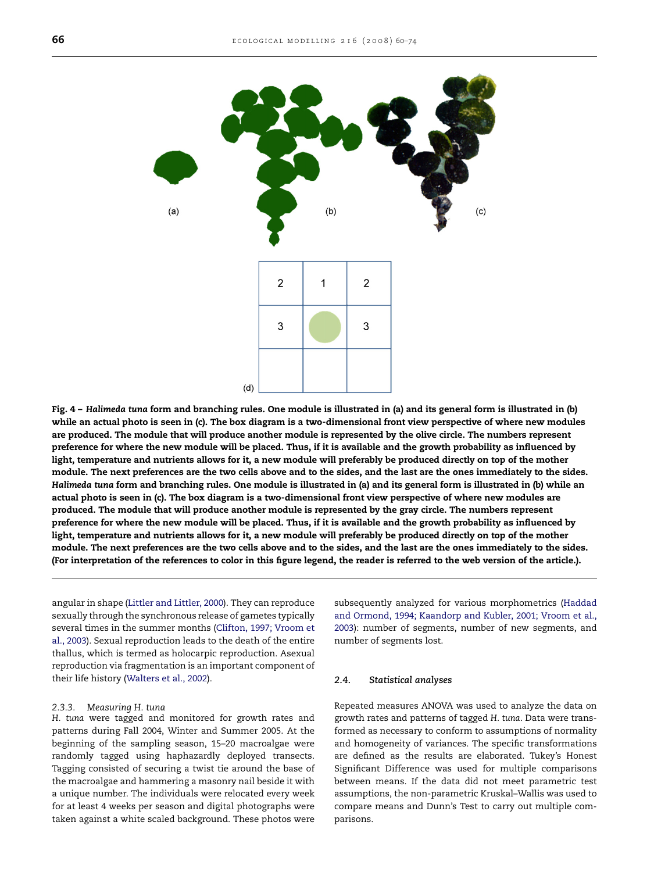<span id="page-6-0"></span>

**Fig. 4 –** *Halimeda tuna* **form and branching rules. One module is illustrated in (a) and its general form is illustrated in (b) while an actual photo is seen in (c). The box diagram is a two-dimensional front view perspective of where new modules are produced. The module that will produce another module is represented by the olive circle. The numbers represent preference for where the new module will be placed. Thus, if it is available and the growth probability as influenced by light, temperature and nutrients allows for it, a new module will preferably be produced directly on top of the mother module. The next preferences are the two cells above and to the sides, and the last are the ones immediately to the sides.** *Halimeda tuna* **form and branching rules. One module is illustrated in (a) and its general form is illustrated in (b) while an actual photo is seen in (c). The box diagram is a two-dimensional front view perspective of where new modules are produced. The module that will produce another module is represented by the gray circle. The numbers represent preference for where the new module will be placed. Thus, if it is available and the growth probability as influenced by light, temperature and nutrients allows for it, a new module will preferably be produced directly on top of the mother module. The next preferences are the two cells above and to the sides, and the last are the ones immediately to the sides. (For interpretation of the references to color in this figure legend, the reader is referred to the web version of the article.).**

angular in shape [\(Littler and Littler, 2000\).](#page-13-0) They can reproduce sexually through the synchronous release of gametes typically several times in the summer months ([Clifton, 1997; Vroom et](#page-13-0) [al., 2003\).](#page-13-0) Sexual reproduction leads to the death of the entire thallus, which is termed as holocarpic reproduction. Asexual reproduction via fragmentation is an important component of their life history [\(Walters et al., 2002\).](#page-14-0)

#### *2.3.3. Measuring H. tuna*

*H. tuna* were tagged and monitored for growth rates and patterns during Fall 2004, Winter and Summer 2005. At the beginning of the sampling season, 15–20 macroalgae were randomly tagged using haphazardly deployed transects. Tagging consisted of securing a twist tie around the base of the macroalgae and hammering a masonry nail beside it with a unique number. The individuals were relocated every week for at least 4 weeks per season and digital photographs were taken against a white scaled background. These photos were subsequently analyzed for various morphometrics [\(Haddad](#page-13-0) [and Ormond, 1994; Kaandorp and Kubler, 2001; Vroom et al.,](#page-13-0) [2003\):](#page-13-0) number of segments, number of new segments, and number of segments lost.

## *2.4. Statistical analyses*

Repeated measures ANOVA was used to analyze the data on growth rates and patterns of tagged *H. tuna*. Data were transformed as necessary to conform to assumptions of normality and homogeneity of variances. The specific transformations are defined as the results are elaborated. Tukey's Honest Significant Difference was used for multiple comparisons between means. If the data did not meet parametric test assumptions, the non-parametric Kruskal–Wallis was used to compare means and Dunn's Test to carry out multiple comparisons.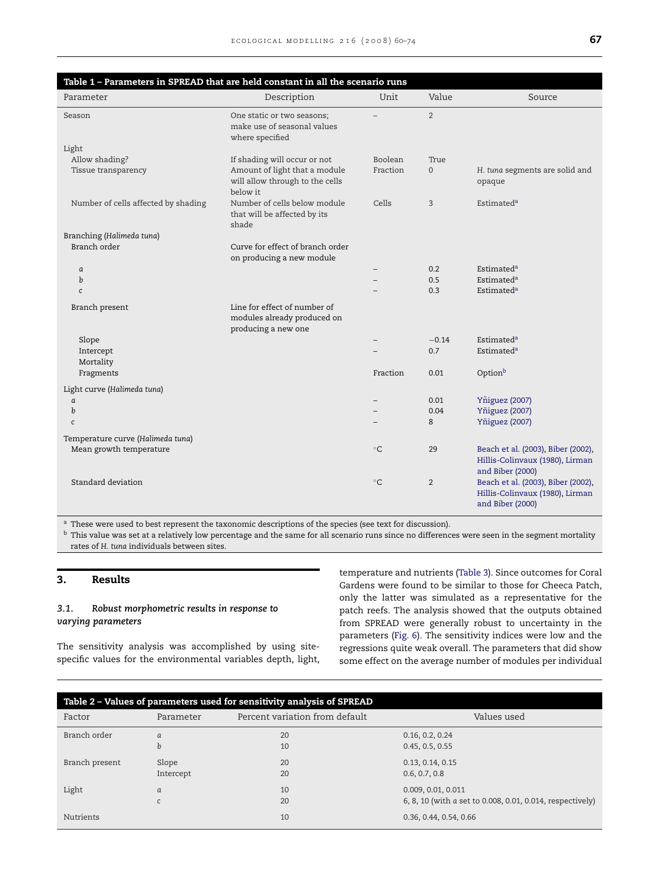<span id="page-7-0"></span>

| Table 1 - Parameters in SPREAD that are held constant in all the scenario runs |                                                                                    |              |                |                                                                                           |
|--------------------------------------------------------------------------------|------------------------------------------------------------------------------------|--------------|----------------|-------------------------------------------------------------------------------------------|
| Parameter                                                                      | Description                                                                        | Unit         | Value          | Source                                                                                    |
| Season                                                                         | One static or two seasons;<br>make use of seasonal values<br>where specified       |              | $\overline{2}$ |                                                                                           |
| Light                                                                          |                                                                                    |              |                |                                                                                           |
| Allow shading?                                                                 | If shading will occur or not                                                       | Boolean      | True           |                                                                                           |
| Tissue transparency                                                            | Amount of light that a module<br>will allow through to the cells<br>below it       | Fraction     | $\overline{0}$ | H. tuna segments are solid and<br>opaque                                                  |
| Number of cells affected by shading                                            | Number of cells below module<br>that will be affected by its<br>shade              | Cells        | 3              | Estimated <sup>a</sup>                                                                    |
| Branching (Halimeda tuna)                                                      |                                                                                    |              |                |                                                                                           |
| Branch order                                                                   | Curve for effect of branch order<br>on producing a new module                      |              |                |                                                                                           |
| $\it a$                                                                        |                                                                                    |              | 0.2            | Estimated <sup>a</sup>                                                                    |
| $\mathbf b$                                                                    |                                                                                    |              | 0.5            | Estimated <sup>a</sup>                                                                    |
| $\mathsf{C}$                                                                   |                                                                                    |              | 0.3            | Estimated <sup>a</sup>                                                                    |
| Branch present                                                                 | Line for effect of number of<br>modules already produced on<br>producing a new one |              |                |                                                                                           |
| Slope                                                                          |                                                                                    |              | $-0.14$        | Estimated <sup>a</sup>                                                                    |
| Intercept                                                                      |                                                                                    |              | 0.7            | Estimated <sup>a</sup>                                                                    |
| Mortality                                                                      |                                                                                    |              |                |                                                                                           |
| Fragments                                                                      |                                                                                    | Fraction     | 0.01           | Optionb                                                                                   |
| Light curve (Halimeda tuna)                                                    |                                                                                    |              |                |                                                                                           |
| a                                                                              |                                                                                    |              | 0.01           | Yñiguez (2007)                                                                            |
| $\boldsymbol{b}$                                                               |                                                                                    |              | 0.04           | Yñiguez (2007)                                                                            |
| $\mathsf{C}$                                                                   |                                                                                    |              | 8              | Yñiguez (2007)                                                                            |
| Temperature curve (Halimeda tuna)                                              |                                                                                    |              |                |                                                                                           |
| Mean growth temperature                                                        |                                                                                    | $^{\circ}$ C | 29             | Beach et al. (2003), Biber (2002),<br>Hillis-Colinvaux (1980), Lirman<br>and Biber (2000) |
| Standard deviation                                                             |                                                                                    | $^{\circ}$ C | $\overline{2}$ | Beach et al. (2003), Biber (2002),<br>Hillis-Colinvaux (1980), Lirman<br>and Biber (2000) |

a These were used to best represent the taxonomic descriptions of the species (see text for discussion).

<sup>b</sup> This value was set at a relatively low percentage and the same for all scenario runs since no differences were seen in the segment mortality rates of *H. tuna* individuals between sites.

## **3. Results**

## *3.1. Robust morphometric results in response to varying parameters*

The sensitivity analysis was accomplished by using sitespecific values for the environmental variables depth, light, temperature and nutrients [\(Table 3\).](#page-8-0) Since outcomes for Coral Gardens were found to be similar to those for Cheeca Patch, only the latter was simulated as a representative for the patch reefs. The analysis showed that the outputs obtained from SPREAD were generally robust to uncertainty in the parameters [\(Fig. 6\).](#page-10-0) The sensitivity indices were low and the regressions quite weak overall. The parameters that did show some effect on the average number of modules per individual

| Table 2 - Values of parameters used for sensitivity analysis of SPREAD |           |                                |                                                           |  |  |  |  |
|------------------------------------------------------------------------|-----------|--------------------------------|-----------------------------------------------------------|--|--|--|--|
| Factor                                                                 | Parameter | Percent variation from default | Values used                                               |  |  |  |  |
| Branch order                                                           | $\alpha$  | 20                             | 0.16, 0.2, 0.24                                           |  |  |  |  |
|                                                                        | h         | 10                             | 0.45, 0.5, 0.55                                           |  |  |  |  |
| Branch present                                                         | Slope     | 20                             | 0.13, 0.14, 0.15                                          |  |  |  |  |
|                                                                        | Intercept | 20                             | 0.6, 0.7, 0.8                                             |  |  |  |  |
| Light                                                                  | a         | 10                             | 0.009, 0.01, 0.011                                        |  |  |  |  |
|                                                                        | C         | 20                             | 6, 8, 10 (with a set to 0.008, 0.01, 0.014, respectively) |  |  |  |  |
| <b>Nutrients</b>                                                       |           | 10                             | 0.36, 0.44, 0.54, 0.66                                    |  |  |  |  |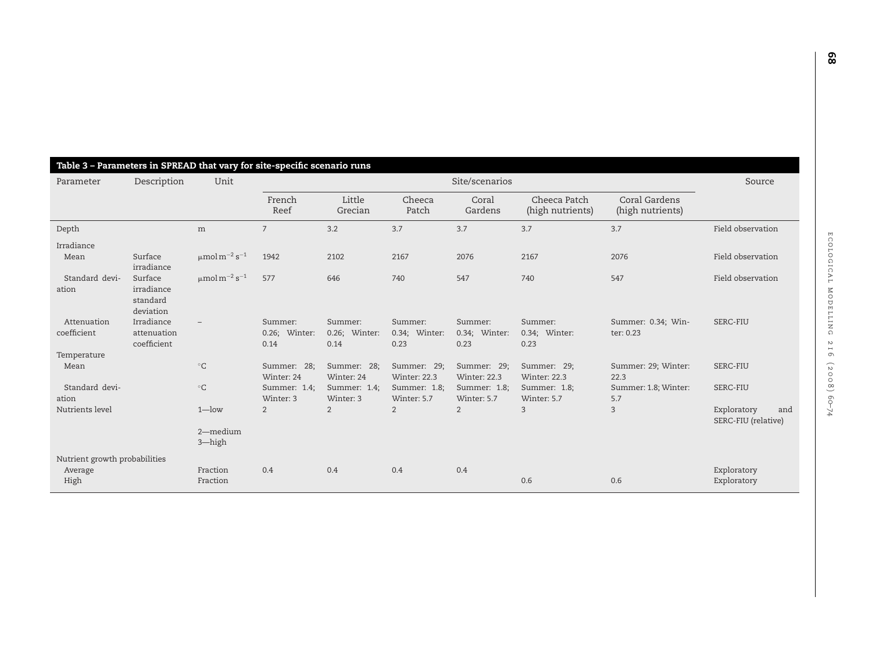<span id="page-8-0"></span>

| Table 3 – Parameters in SPREAD that vary for site-specific scenario runs |
|--------------------------------------------------------------------------|
|--------------------------------------------------------------------------|

| Parameter                     | Description                                    | Unit                                      | Site/scenarios                   |                                  |                                  |                                  | Source                           |                                   |                                           |
|-------------------------------|------------------------------------------------|-------------------------------------------|----------------------------------|----------------------------------|----------------------------------|----------------------------------|----------------------------------|-----------------------------------|-------------------------------------------|
|                               |                                                |                                           | French<br>Reef                   | Little<br>Grecian                | Cheeca<br>Patch                  | Coral<br>Gardens                 | Cheeca Patch<br>(high nutrients) | Coral Gardens<br>(high nutrients) |                                           |
| Depth                         |                                                | m                                         | $\overline{7}$                   | 3.2                              | 3.7                              | 3.7                              | 3.7                              | 3.7                               | Field observation                         |
| Irradiance                    |                                                |                                           |                                  |                                  |                                  |                                  |                                  |                                   |                                           |
| Mean                          | Surface<br>irradiance                          | $\mu$ mol m <sup>-2</sup> s <sup>-1</sup> | 1942                             | 2102                             | 2167                             | 2076                             | 2167                             | 2076                              | Field observation                         |
| Standard devi-<br>ation       | Surface<br>irradiance<br>standard<br>deviation | $\mu$ mol m <sup>-2</sup> s <sup>-1</sup> | 577                              | 646                              | 740                              | 547                              | 740                              | 547                               | Field observation                         |
| Attenuation<br>coefficient    | Irradiance<br>attenuation<br>coefficient       |                                           | Summer:<br>0.26; Winter:<br>0.14 | Summer:<br>0.26; Winter:<br>0.14 | Summer:<br>0.34; Winter:<br>0.23 | Summer:<br>0.34; Winter:<br>0.23 | Summer:<br>0.34; Winter:<br>0.23 | Summer: 0.34; Win-<br>ter: 0.23   | SERC-FIU                                  |
| Temperature                   |                                                |                                           |                                  |                                  |                                  |                                  |                                  |                                   |                                           |
| Mean                          |                                                | $^\circ \text{C}$                         | Summer: 28;<br>Winter: 24        | Summer: 28;<br>Winter: 24        | Summer: 29;<br>Winter: 22.3      | Summer: 29;<br>Winter: 22.3      | Summer: 29;<br>Winter: 22.3      | Summer: 29; Winter:<br>22.3       | SERC-FIU                                  |
| Standard devi-<br>ation       |                                                | $^\circ \text{C}$                         | Summer: 1.4;<br>Winter: 3        | Summer: 1.4;<br>Winter: 3        | Summer: 1.8;<br>Winter: 5.7      | Summer: 1.8;<br>Winter: 5.7      | Summer: 1.8;<br>Winter: 5.7      | Summer: 1.8; Winter:<br>5.7       | SERC-FIU                                  |
| Nutrients level               |                                                | $1$ — $low$                               | $\overline{2}$                   | $\overline{2}$                   | $\overline{2}$                   | $\overline{2}$                   | 3                                | 3                                 | Exploratory<br>and<br>SERC-FIU (relative) |
|                               |                                                | 2-medium<br>$3$ —high                     |                                  |                                  |                                  |                                  |                                  |                                   |                                           |
| Nutrient growth probabilities |                                                |                                           |                                  |                                  |                                  |                                  |                                  |                                   |                                           |
| Average<br>High               |                                                | Fraction<br>Fraction                      | 0.4                              | 0.4                              | 0.4                              | 0.4                              | 0.6                              | 0.6                               | Exploratory<br>Exploratory                |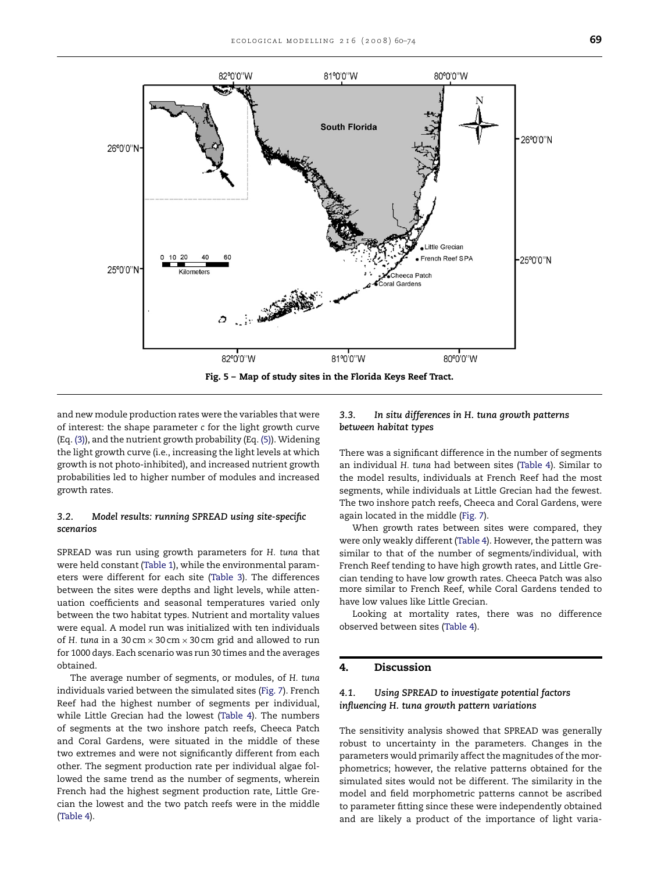<span id="page-9-0"></span>

and new module production rates were the variables that were of interest: the shape parameter *c* for the light growth curve (Eq. [\(3\)\),](#page-4-0) and the nutrient growth probability (Eq. [\(5\)\).](#page-5-0) Widening the light growth curve (i.e., increasing the light levels at which growth is not photo-inhibited), and increased nutrient growth probabilities led to higher number of modules and increased growth rates.

## *3.2. Model results: running SPREAD using site-specific scenarios*

SPREAD was run using growth parameters for *H. tuna* that were held constant ([Table 1\),](#page-7-0) while the environmental parameters were different for each site ([Table 3\).](#page-8-0) The differences between the sites were depths and light levels, while attenuation coefficients and seasonal temperatures varied only between the two habitat types. Nutrient and mortality values were equal. A model run was initialized with ten individuals of *H. tuna* in a 30 cm  $\times$  30 cm  $\times$  30 cm grid and allowed to run for 1000 days. Each scenario was run 30 times and the averages obtained.

The average number of segments, or modules, of *H. tuna* individuals varied between the simulated sites ([Fig. 7\).](#page-12-0) French Reef had the highest number of segments per individual, while Little Grecian had the lowest ([Table 4\).](#page-11-0) The numbers of segments at the two inshore patch reefs, Cheeca Patch and Coral Gardens, were situated in the middle of these two extremes and were not significantly different from each other. The segment production rate per individual algae followed the same trend as the number of segments, wherein French had the highest segment production rate, Little Grecian the lowest and the two patch reefs were in the middle [\(Table 4\).](#page-11-0)

## *3.3. In situ differences in H. tuna growth patterns between habitat types*

There was a significant difference in the number of segments an individual *H. tuna* had between sites [\(Table 4\).](#page-11-0) Similar to the model results, individuals at French Reef had the most segments, while individuals at Little Grecian had the fewest. The two inshore patch reefs, Cheeca and Coral Gardens, were again located in the middle ([Fig. 7\).](#page-12-0)

When growth rates between sites were compared, they were only weakly different [\(Table 4\).](#page-11-0) However, the pattern was similar to that of the number of segments/individual, with French Reef tending to have high growth rates, and Little Grecian tending to have low growth rates. Cheeca Patch was also more similar to French Reef, while Coral Gardens tended to have low values like Little Grecian.

Looking at mortality rates, there was no difference observed between sites ([Table 4\).](#page-11-0)

## **4. Discussion**

## *4.1. Using SPREAD to investigate potential factors influencing H. tuna growth pattern variations*

The sensitivity analysis showed that SPREAD was generally robust to uncertainty in the parameters. Changes in the parameters would primarily affect the magnitudes of the morphometrics; however, the relative patterns obtained for the simulated sites would not be different. The similarity in the model and field morphometric patterns cannot be ascribed to parameter fitting since these were independently obtained and are likely a product of the importance of light varia-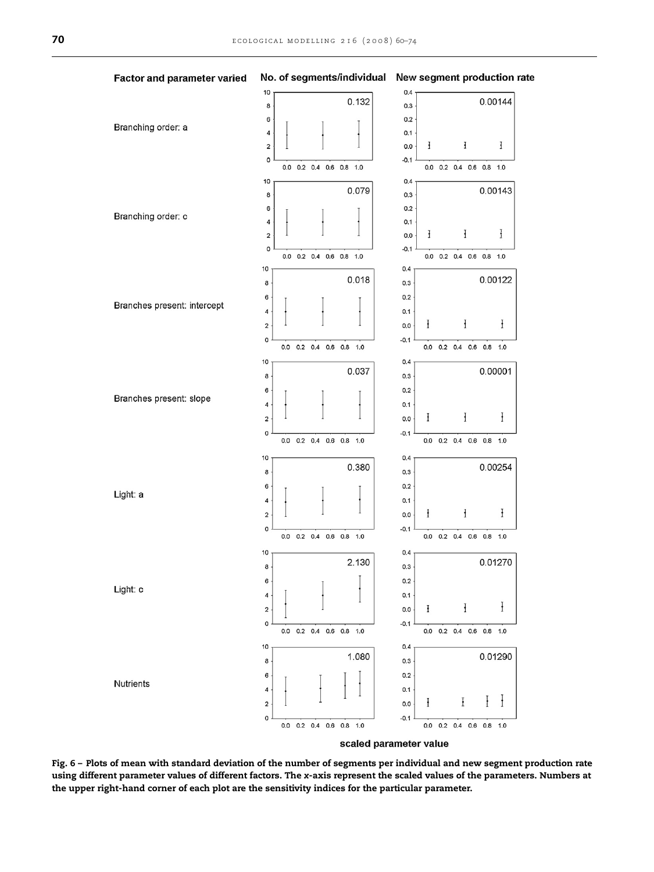<span id="page-10-0"></span>

**Fig. 6 – Plots of mean with standard deviation of the number of segments per individual and new segment production rate using different parameter values of different factors. The** *x***-axis represent the scaled values of the parameters. Numbers at the upper right-hand corner of each plot are the sensitivity indices for the particular parameter.**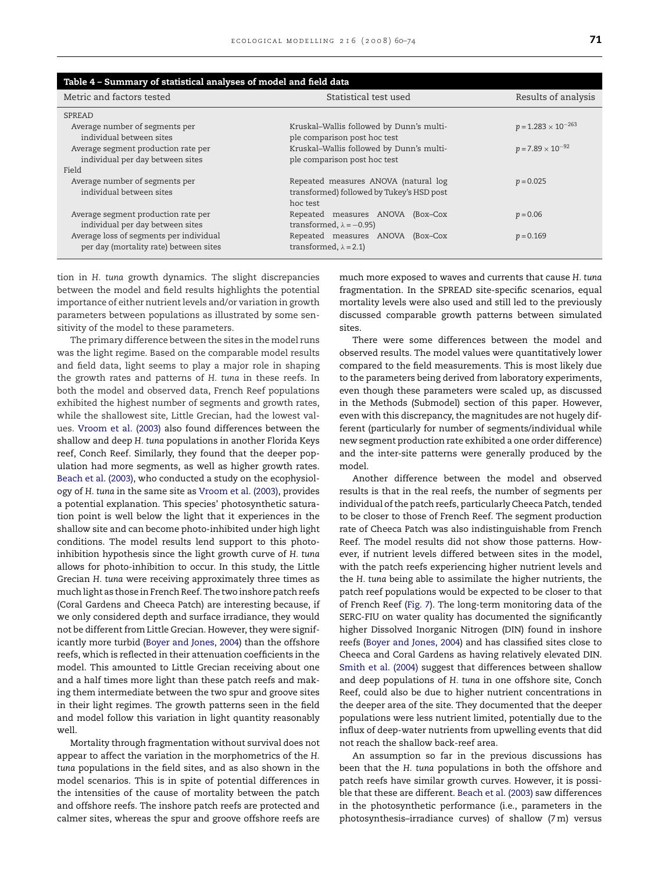<span id="page-11-0"></span>

| Table 4 - Summary of statistical analyses of model and field data |                                           |                              |  |  |  |  |
|-------------------------------------------------------------------|-------------------------------------------|------------------------------|--|--|--|--|
| Metric and factors tested                                         | Statistical test used                     | Results of analysis          |  |  |  |  |
| SPREAD                                                            |                                           |                              |  |  |  |  |
| Average number of segments per                                    | Kruskal-Wallis followed by Dunn's multi-  | $p = 1.283 \times 10^{-263}$ |  |  |  |  |
| individual between sites                                          | ple comparison post hoc test              |                              |  |  |  |  |
| Average segment production rate per                               | Kruskal-Wallis followed by Dunn's multi-  | $p = 7.89 \times 10^{-92}$   |  |  |  |  |
| individual per day between sites                                  | ple comparison post hoc test              |                              |  |  |  |  |
| Field                                                             |                                           |                              |  |  |  |  |
| Average number of segments per                                    | Repeated measures ANOVA (natural log      | $p = 0.025$                  |  |  |  |  |
| individual between sites                                          | transformed) followed by Tukey's HSD post |                              |  |  |  |  |
|                                                                   | hoc test                                  |                              |  |  |  |  |
| Average segment production rate per                               | Repeated measures ANOVA (Box-Cox          | $p = 0.06$                   |  |  |  |  |
| individual per day between sites                                  | transformed, $\lambda = -0.95$            |                              |  |  |  |  |
| Average loss of segments per individual                           | Repeated measures ANOVA (Box-Cox          | $p = 0.169$                  |  |  |  |  |
| per day (mortality rate) between sites                            | transformed, $\lambda = 2.1$ )            |                              |  |  |  |  |
|                                                                   |                                           |                              |  |  |  |  |

tion in *H. tuna* growth dynamics. The slight discrepancies between the model and field results highlights the potential importance of either nutrient levels and/or variation in growth parameters between populations as illustrated by some sensitivity of the model to these parameters.

The primary difference between the sites in the model runs was the light regime. Based on the comparable model results and field data, light seems to play a major role in shaping the growth rates and patterns of *H. tuna* in these reefs. In both the model and observed data, French Reef populations exhibited the highest number of segments and growth rates, while the shallowest site, Little Grecian, had the lowest values. [Vroom et al. \(2003\)](#page-14-0) also found differences between the shallow and deep *H. tuna* populations in another Florida Keys reef, Conch Reef. Similarly, they found that the deeper population had more segments, as well as higher growth rates. [Beach et al. \(2003\), w](#page-13-0)ho conducted a study on the ecophysiology of *H. tuna* in the same site as [Vroom et al. \(2003\), p](#page-14-0)rovides a potential explanation. This species' photosynthetic saturation point is well below the light that it experiences in the shallow site and can become photo-inhibited under high light conditions. The model results lend support to this photoinhibition hypothesis since the light growth curve of *H. tuna* allows for photo-inhibition to occur. In this study, the Little Grecian *H. tuna* were receiving approximately three times as much light as those in French Reef. The two inshore patch reefs (Coral Gardens and Cheeca Patch) are interesting because, if we only considered depth and surface irradiance, they would not be different from Little Grecian. However, they were significantly more turbid ([Boyer and Jones, 2004\) t](#page-13-0)han the offshore reefs, which is reflected in their attenuation coefficients in the model. This amounted to Little Grecian receiving about one and a half times more light than these patch reefs and making them intermediate between the two spur and groove sites in their light regimes. The growth patterns seen in the field and model follow this variation in light quantity reasonably well.

Mortality through fragmentation without survival does not appear to affect the variation in the morphometrics of the *H. tuna* populations in the field sites, and as also shown in the model scenarios. This is in spite of potential differences in the intensities of the cause of mortality between the patch and offshore reefs. The inshore patch reefs are protected and calmer sites, whereas the spur and groove offshore reefs are much more exposed to waves and currents that cause *H. tuna* fragmentation. In the SPREAD site-specific scenarios, equal mortality levels were also used and still led to the previously discussed comparable growth patterns between simulated sites.

There were some differences between the model and observed results. The model values were quantitatively lower compared to the field measurements. This is most likely due to the parameters being derived from laboratory experiments, even though these parameters were scaled up, as discussed in the Methods (Submodel) section of this paper. However, even with this discrepancy, the magnitudes are not hugely different (particularly for number of segments/individual while new segment production rate exhibited a one order difference) and the inter-site patterns were generally produced by the model.

Another difference between the model and observed results is that in the real reefs, the number of segments per individual of the patch reefs, particularly Cheeca Patch, tended to be closer to those of French Reef. The segment production rate of Cheeca Patch was also indistinguishable from French Reef. The model results did not show those patterns. However, if nutrient levels differed between sites in the model, with the patch reefs experiencing higher nutrient levels and the *H. tuna* being able to assimilate the higher nutrients, the patch reef populations would be expected to be closer to that of French Reef ([Fig. 7\).](#page-12-0) The long-term monitoring data of the SERC-FIU on water quality has documented the significantly higher Dissolved Inorganic Nitrogen (DIN) found in inshore reefs [\(Boyer and Jones, 2004\)](#page-13-0) and has classified sites close to Cheeca and Coral Gardens as having relatively elevated DIN. [Smith et al. \(2004\)](#page-14-0) suggest that differences between shallow and deep populations of *H. tuna* in one offshore site, Conch Reef, could also be due to higher nutrient concentrations in the deeper area of the site. They documented that the deeper populations were less nutrient limited, potentially due to the influx of deep-water nutrients from upwelling events that did not reach the shallow back-reef area.

An assumption so far in the previous discussions has been that the *H. tuna* populations in both the offshore and patch reefs have similar growth curves. However, it is possible that these are different. [Beach et al. \(2003\)](#page-13-0) saw differences in the photosynthetic performance (i.e., parameters in the photosynthesis–irradiance curves) of shallow (7m) versus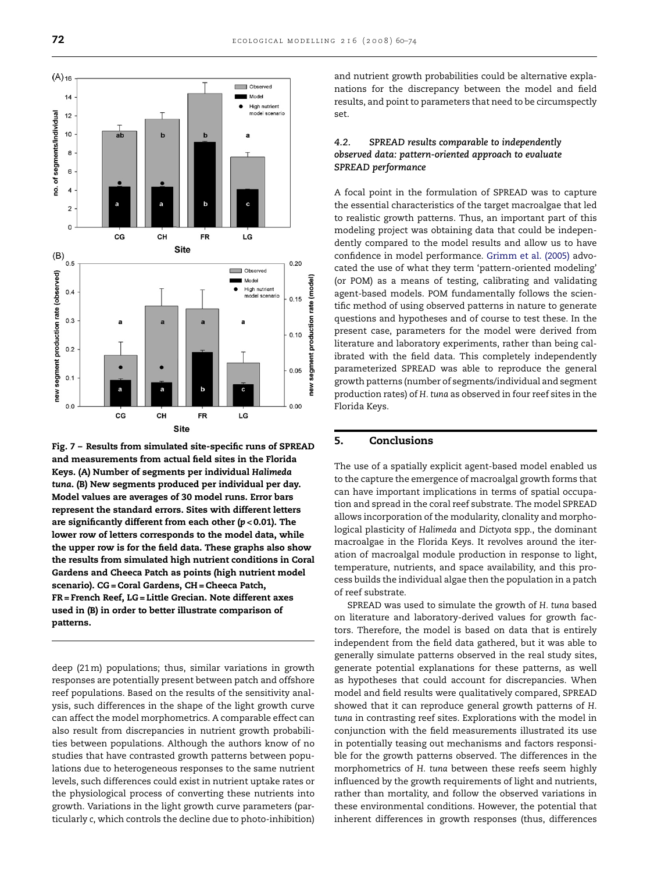<span id="page-12-0"></span>

**Fig. 7 – Results from simulated site-specific runs of SPREAD and measurements from actual field sites in the Florida Keys. (A) Number of segments per individual** *Halimeda tuna***. (B) New segments produced per individual per day. Model values are averages of 30 model runs. Error bars represent the standard errors. Sites with different letters are significantly different from each other (***p* **< 0.01). The lower row of letters corresponds to the model data, while the upper row is for the field data. These graphs also show the results from simulated high nutrient conditions in Coral Gardens and Cheeca Patch as points (high nutrient model scenario). CG = Coral Gardens, CH = Cheeca Patch, FR = French Reef, LG = Little Grecian. Note different axes used in (B) in order to better illustrate comparison of patterns.**

deep (21m) populations; thus, similar variations in growth responses are potentially present between patch and offshore reef populations. Based on the results of the sensitivity analysis, such differences in the shape of the light growth curve can affect the model morphometrics. A comparable effect can also result from discrepancies in nutrient growth probabilities between populations. Although the authors know of no studies that have contrasted growth patterns between populations due to heterogeneous responses to the same nutrient levels, such differences could exist in nutrient uptake rates or the physiological process of converting these nutrients into growth. Variations in the light growth curve parameters (particularly *c*, which controls the decline due to photo-inhibition) and nutrient growth probabilities could be alternative explanations for the discrepancy between the model and field results, and point to parameters that need to be circumspectly set.

## *4.2. SPREAD results comparable to independently observed data: pattern-oriented approach to evaluate SPREAD performance*

A focal point in the formulation of SPREAD was to capture the essential characteristics of the target macroalgae that led to realistic growth patterns. Thus, an important part of this modeling project was obtaining data that could be independently compared to the model results and allow us to have confidence in model performance. [Grimm et al. \(2005\)](#page-13-0) advocated the use of what they term 'pattern-oriented modeling' (or POM) as a means of testing, calibrating and validating agent-based models. POM fundamentally follows the scientific method of using observed patterns in nature to generate questions and hypotheses and of course to test these. In the present case, parameters for the model were derived from literature and laboratory experiments, rather than being calibrated with the field data. This completely independently parameterized SPREAD was able to reproduce the general growth patterns (number of segments/individual and segment production rates) of *H. tuna* as observed in four reef sites in the Florida Keys.

## **5. Conclusions**

The use of a spatially explicit agent-based model enabled us to the capture the emergence of macroalgal growth forms that can have important implications in terms of spatial occupation and spread in the coral reef substrate. The model SPREAD allows incorporation of the modularity, clonality and morphological plasticity of *Halimeda* and *Dictyota* spp., the dominant macroalgae in the Florida Keys. It revolves around the iteration of macroalgal module production in response to light, temperature, nutrients, and space availability, and this process builds the individual algae then the population in a patch of reef substrate.

SPREAD was used to simulate the growth of *H. tuna* based on literature and laboratory-derived values for growth factors. Therefore, the model is based on data that is entirely independent from the field data gathered, but it was able to generally simulate patterns observed in the real study sites, generate potential explanations for these patterns, as well as hypotheses that could account for discrepancies. When model and field results were qualitatively compared, SPREAD showed that it can reproduce general growth patterns of *H. tuna* in contrasting reef sites. Explorations with the model in conjunction with the field measurements illustrated its use in potentially teasing out mechanisms and factors responsible for the growth patterns observed. The differences in the morphometrics of *H. tuna* between these reefs seem highly influenced by the growth requirements of light and nutrients, rather than mortality, and follow the observed variations in these environmental conditions. However, the potential that inherent differences in growth responses (thus, differences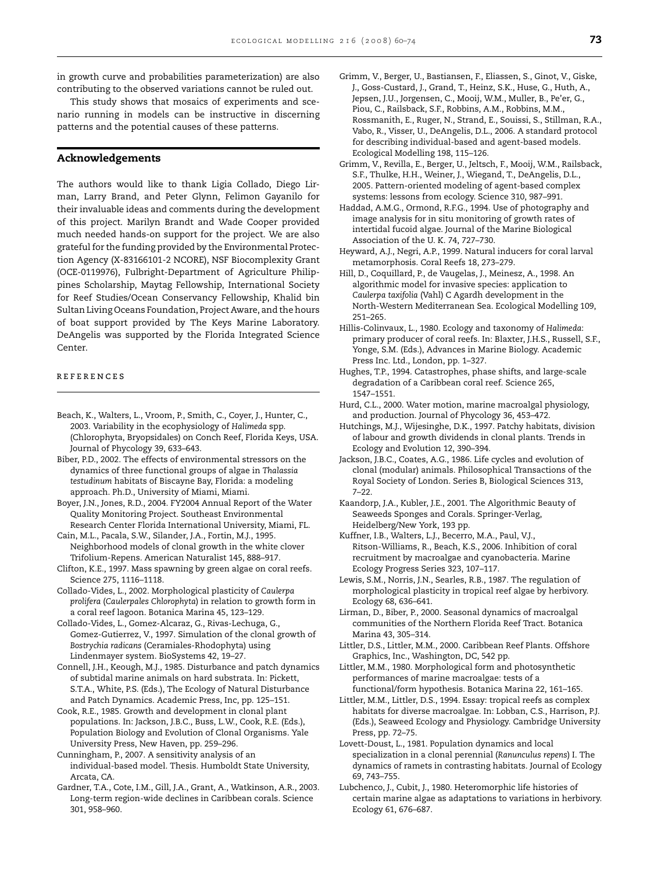<span id="page-13-0"></span>in growth curve and probabilities parameterization) are also contributing to the observed variations cannot be ruled out.

This study shows that mosaics of experiments and scenario running in models can be instructive in discerning patterns and the potential causes of these patterns.

## **Acknowledgements**

The authors would like to thank Ligia Collado, Diego Lirman, Larry Brand, and Peter Glynn, Felimon Gayanilo for their invaluable ideas and comments during the development of this project. Marilyn Brandt and Wade Cooper provided much needed hands-on support for the project. We are also grateful for the funding provided by the Environmental Protection Agency (X-83166101-2 NCORE), NSF Biocomplexity Grant (OCE-0119976), Fulbright-Department of Agriculture Philippines Scholarship, Maytag Fellowship, International Society for Reef Studies/Ocean Conservancy Fellowship, Khalid bin Sultan Living Oceans Foundation, Project Aware, and the hours of boat support provided by The Keys Marine Laboratory. DeAngelis was supported by the Florida Integrated Science Center.

#### references

- Beach, K., Walters, L., Vroom, P., Smith, C., Coyer, J., Hunter, C., 2003. Variability in the ecophysiology of *Halimeda* spp. (Chlorophyta, Bryopsidales) on Conch Reef, Florida Keys, USA. Journal of Phycology 39, 633–643.
- Biber, P.D., 2002. The effects of environmental stressors on the dynamics of three functional groups of algae in *Thalassia testudinum* habitats of Biscayne Bay, Florida: a modeling approach. Ph.D., University of Miami, Miami.
- Boyer, J.N., Jones, R.D., 2004. FY2004 Annual Report of the Water Quality Monitoring Project. Southeast Environmental Research Center Florida International University, Miami, FL.
- Cain, M.L., Pacala, S.W., Silander, J.A., Fortin, M.J., 1995. Neighborhood models of clonal growth in the white clover Trifolium-Repens. American Naturalist 145, 888–917.
- Clifton, K.E., 1997. Mass spawning by green algae on coral reefs. Science 275, 1116–1118.
- Collado-Vides, L., 2002. Morphological plasticity of *Caulerpa prolifera* (*Caulerpales Chlorophyta*) in relation to growth form in a coral reef lagoon. Botanica Marina 45, 123–129.
- Collado-Vides, L., Gomez-Alcaraz, G., Rivas-Lechuga, G., Gomez-Gutierrez, V., 1997. Simulation of the clonal growth of *Bostrychia radicans* (Ceramiales-Rhodophyta) using Lindenmayer system. BioSystems 42, 19–27.
- Connell, J.H., Keough, M.J., 1985. Disturbance and patch dynamics of subtidal marine animals on hard substrata. In: Pickett, S.T.A., White, P.S. (Eds.), The Ecology of Natural Disturbance and Patch Dynamics. Academic Press, Inc, pp. 125–151.
- Cook, R.E., 1985. Growth and development in clonal plant populations. In: Jackson, J.B.C., Buss, L.W., Cook, R.E. (Eds.), Population Biology and Evolution of Clonal Organisms. Yale University Press, New Haven, pp. 259–296.
- Cunningham, P., 2007. A sensitivity analysis of an individual-based model. Thesis. Humboldt State University, Arcata, CA.
- Gardner, T.A., Cote, I.M., Gill, J.A., Grant, A., Watkinson, A.R., 2003. Long-term region-wide declines in Caribbean corals. Science 301, 958–960.
- Grimm, V., Berger, U., Bastiansen, F., Eliassen, S., Ginot, V., Giske, J., Goss-Custard, J., Grand, T., Heinz, S.K., Huse, G., Huth, A., Jepsen, J.U., Jorgensen, C., Mooij, W.M., Muller, B., Pe'er, G., Piou, C., Railsback, S.F., Robbins, A.M., Robbins, M.M., Rossmanith, E., Ruger, N., Strand, E., Souissi, S., Stillman, R.A., Vabo, R., Visser, U., DeAngelis, D.L., 2006. A standard protocol for describing individual-based and agent-based models. Ecological Modelling 198, 115–126.
- Grimm, V., Revilla, E., Berger, U., Jeltsch, F., Mooij, W.M., Railsback, S.F., Thulke, H.H., Weiner, J., Wiegand, T., DeAngelis, D.L., 2005. Pattern-oriented modeling of agent-based complex systems: lessons from ecology. Science 310, 987–991.
- Haddad, A.M.G., Ormond, R.F.G., 1994. Use of photography and image analysis for in situ monitoring of growth rates of intertidal fucoid algae. Journal of the Marine Biological Association of the U. K. 74, 727–730.
- Heyward, A.J., Negri, A.P., 1999. Natural inducers for coral larval metamorphosis. Coral Reefs 18, 273–279.
- Hill, D., Coquillard, P., de Vaugelas, J., Meinesz, A., 1998. An algorithmic model for invasive species: application to *Caulerpa taxifolia* (Vahl) C Agardh development in the North-Western Mediterranean Sea. Ecological Modelling 109, 251–265.
- Hillis-Colinvaux, L., 1980. Ecology and taxonomy of *Halimeda*: primary producer of coral reefs. In: Blaxter, J.H.S., Russell, S.F., Yonge, S.M. (Eds.), Advances in Marine Biology. Academic Press Inc. Ltd., London, pp. 1–327.
- Hughes, T.P., 1994. Catastrophes, phase shifts, and large-scale degradation of a Caribbean coral reef. Science 265, 1547–1551.
- Hurd, C.L., 2000. Water motion, marine macroalgal physiology, and production. Journal of Phycology 36, 453–472.
- Hutchings, M.J., Wijesinghe, D.K., 1997. Patchy habitats, division of labour and growth dividends in clonal plants. Trends in Ecology and Evolution 12, 390–394.
- Jackson, J.B.C., Coates, A.G., 1986. Life cycles and evolution of clonal (modular) animals. Philosophical Transactions of the Royal Society of London. Series B, Biological Sciences 313, 7–22.
- Kaandorp, J.A., Kubler, J.E., 2001. The Algorithmic Beauty of Seaweeds Sponges and Corals. Springer-Verlag, Heidelberg/New York, 193 pp.
- Kuffner, I.B., Walters, L.J., Becerro, M.A., Paul, V.J., Ritson-Williams, R., Beach, K.S., 2006. Inhibition of coral recruitment by macroalgae and cyanobacteria. Marine Ecology Progress Series 323, 107–117.
- Lewis, S.M., Norris, J.N., Searles, R.B., 1987. The regulation of morphological plasticity in tropical reef algae by herbivory. Ecology 68, 636–641.
- Lirman, D., Biber, P., 2000. Seasonal dynamics of macroalgal communities of the Northern Florida Reef Tract. Botanica Marina 43, 305–314.
- Littler, D.S., Littler, M.M., 2000. Caribbean Reef Plants. Offshore Graphics, Inc., Washington, DC, 542 pp.
- Littler, M.M., 1980. Morphological form and photosynthetic performances of marine macroalgae: tests of a functional/form hypothesis. Botanica Marina 22, 161–165.
- Littler, M.M., Littler, D.S., 1994. Essay: tropical reefs as complex habitats for diverse macroalgae. In: Lobban, C.S., Harrison, P.J. (Eds.), Seaweed Ecology and Physiology. Cambridge University Press, pp. 72–75.
- Lovett-Doust, L., 1981. Population dynamics and local specialization in a clonal perennial (*Ranunculus repens*) I. The dynamics of ramets in contrasting habitats. Journal of Ecology 69, 743–755.
- Lubchenco, J., Cubit, J., 1980. Heteromorphic life histories of certain marine algae as adaptations to variations in herbivory. Ecology 61, 676–687.